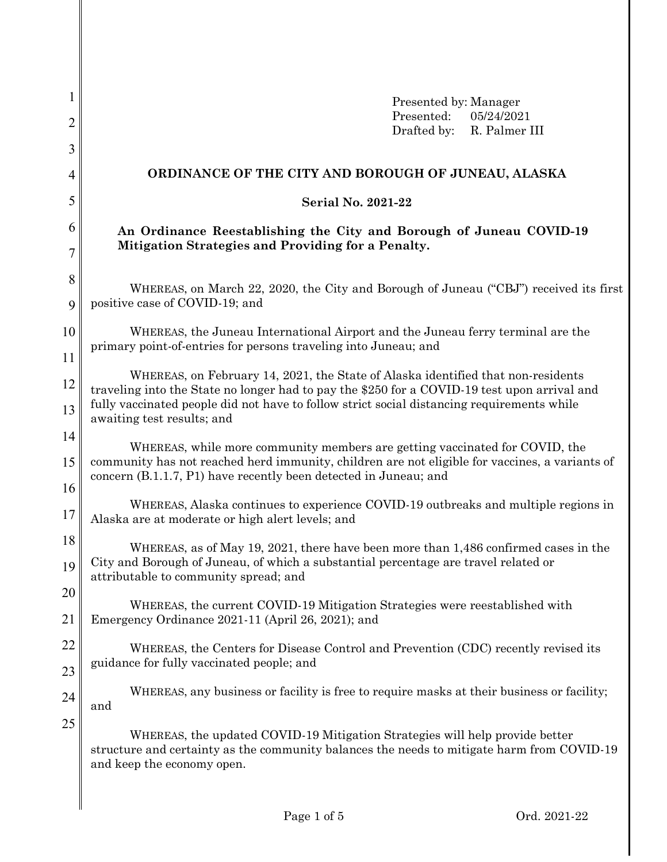| 1                                                                                                                                     | Presented by: Manager                                                                                                                                                                                                                                                          |  |  |  |  |  |  |  |  |
|---------------------------------------------------------------------------------------------------------------------------------------|--------------------------------------------------------------------------------------------------------------------------------------------------------------------------------------------------------------------------------------------------------------------------------|--|--|--|--|--|--|--|--|
| $\overline{2}$                                                                                                                        | Presented:<br>05/24/2021<br>Drafted by:<br>R. Palmer III                                                                                                                                                                                                                       |  |  |  |  |  |  |  |  |
| 3                                                                                                                                     |                                                                                                                                                                                                                                                                                |  |  |  |  |  |  |  |  |
| 4                                                                                                                                     | ORDINANCE OF THE CITY AND BOROUGH OF JUNEAU, ALASKA                                                                                                                                                                                                                            |  |  |  |  |  |  |  |  |
| 5                                                                                                                                     | <b>Serial No. 2021-22</b>                                                                                                                                                                                                                                                      |  |  |  |  |  |  |  |  |
| 6                                                                                                                                     | An Ordinance Reestablishing the City and Borough of Juneau COVID-19                                                                                                                                                                                                            |  |  |  |  |  |  |  |  |
| 7                                                                                                                                     | Mitigation Strategies and Providing for a Penalty.                                                                                                                                                                                                                             |  |  |  |  |  |  |  |  |
| 8                                                                                                                                     |                                                                                                                                                                                                                                                                                |  |  |  |  |  |  |  |  |
| 9                                                                                                                                     | WHEREAS, on March 22, 2020, the City and Borough of Juneau ("CBJ") received its first<br>positive case of COVID-19; and                                                                                                                                                        |  |  |  |  |  |  |  |  |
| 10                                                                                                                                    | WHEREAS, the Juneau International Airport and the Juneau ferry terminal are the                                                                                                                                                                                                |  |  |  |  |  |  |  |  |
| 11                                                                                                                                    | primary point-of-entries for persons traveling into Juneau; and                                                                                                                                                                                                                |  |  |  |  |  |  |  |  |
| 12<br>13                                                                                                                              | WHEREAS, on February 14, 2021, the State of Alaska identified that non-residents<br>traveling into the State no longer had to pay the \$250 for a COVID-19 test upon arrival and<br>fully vaccinated people did not have to follow strict social distancing requirements while |  |  |  |  |  |  |  |  |
| 14                                                                                                                                    | awaiting test results; and                                                                                                                                                                                                                                                     |  |  |  |  |  |  |  |  |
| 15                                                                                                                                    | WHEREAS, while more community members are getting vaccinated for COVID, the<br>community has not reached herd immunity, children are not eligible for vaccines, a variants of<br>concern (B.1.1.7, P1) have recently been detected in Juneau; and                              |  |  |  |  |  |  |  |  |
| 16<br>17                                                                                                                              | WHEREAS, Alaska continues to experience COVID-19 outbreaks and multiple regions in<br>Alaska are at moderate or high alert levels; and                                                                                                                                         |  |  |  |  |  |  |  |  |
| 18<br>19                                                                                                                              | WHEREAS, as of May 19, 2021, there have been more than 1,486 confirmed cases in the<br>City and Borough of Juneau, of which a substantial percentage are travel related or                                                                                                     |  |  |  |  |  |  |  |  |
| 20                                                                                                                                    | attributable to community spread; and                                                                                                                                                                                                                                          |  |  |  |  |  |  |  |  |
| 21                                                                                                                                    | WHEREAS, the current COVID-19 Mitigation Strategies were reestablished with<br>Emergency Ordinance 2021-11 (April 26, 2021); and                                                                                                                                               |  |  |  |  |  |  |  |  |
| 22<br>WHEREAS, the Centers for Disease Control and Prevention (CDC) recently revised its<br>guidance for fully vaccinated people; and |                                                                                                                                                                                                                                                                                |  |  |  |  |  |  |  |  |
| 23<br>24                                                                                                                              | WHEREAS, any business or facility is free to require masks at their business or facility;<br>and                                                                                                                                                                               |  |  |  |  |  |  |  |  |
| 25                                                                                                                                    | WHEREAS, the updated COVID-19 Mitigation Strategies will help provide better<br>structure and certainty as the community balances the needs to mitigate harm from COVID-19<br>and keep the economy open.                                                                       |  |  |  |  |  |  |  |  |
|                                                                                                                                       |                                                                                                                                                                                                                                                                                |  |  |  |  |  |  |  |  |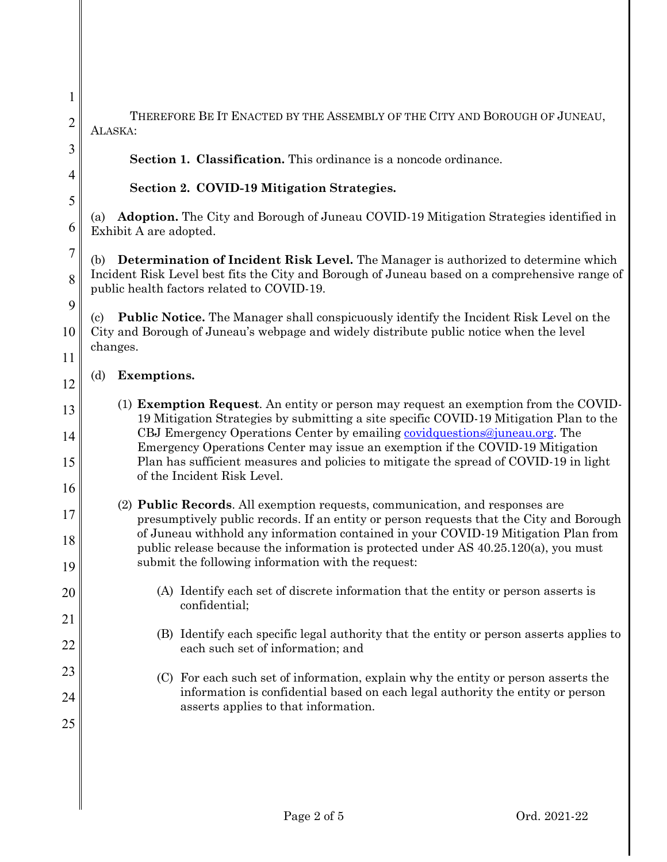THEREFORE BE IT ENACTED BY THE ASSEMBLY OF THE CITY AND BOROUGH OF JUNEAU, ALASKA:

**Section 1. Classification.** This ordinance is a noncode ordinance.

## **Section 2. COVID-19 Mitigation Strategies.**

(a) **Adoption.** The City and Borough of Juneau COVID-19 Mitigation Strategies identified in Exhibit A are adopted.

(b) **Determination of Incident Risk Level.** The Manager is authorized to determine which Incident Risk Level best fits the City and Borough of Juneau based on a comprehensive range of public health factors related to COVID-19.

9 10 11 (c) **Public Notice.** The Manager shall conspicuously identify the Incident Risk Level on the City and Borough of Juneau's webpage and widely distribute public notice when the level changes.

## (d) **Exemptions.**

1

2

3

4

5

6

7

8

12

13

14

15

16

17

18

19

20

21

22

23

24

25

- (1) **Exemption Request**. An entity or person may request an exemption from the COVID-19 Mitigation Strategies by submitting a site specific COVID-19 Mitigation Plan to the CBJ Emergency Operations Center by emailing [covidquestions@juneau.org.](mailto:covidquestions@juneau.org) The Emergency Operations Center may issue an exemption if the COVID-19 Mitigation Plan has sufficient measures and policies to mitigate the spread of COVID-19 in light of the Incident Risk Level.
- (2) **Public Records**. All exemption requests, communication, and responses are presumptively public records. If an entity or person requests that the City and Borough of Juneau withhold any information contained in your COVID-19 Mitigation Plan from public release because the information is protected under AS 40.25.120(a), you must submit the following information with the request:
	- (A) Identify each set of discrete information that the entity or person asserts is confidential;
	- (B) Identify each specific legal authority that the entity or person asserts applies to each such set of information; and
	- (C) For each such set of information, explain why the entity or person asserts the information is confidential based on each legal authority the entity or person asserts applies to that information.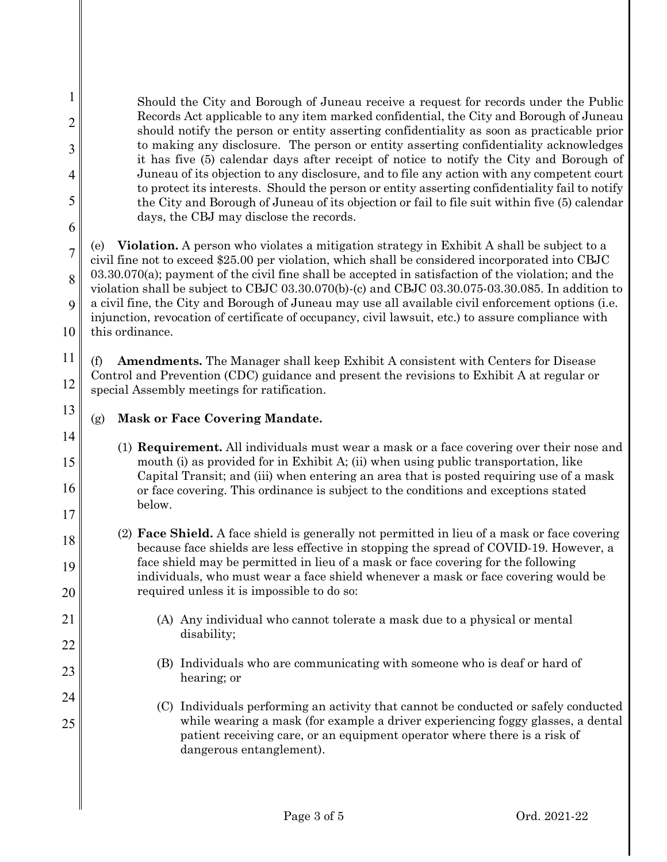Should the City and Borough of Juneau receive a request for records under the Public Records Act applicable to any item marked confidential, the City and Borough of Juneau should notify the person or entity asserting confidentiality as soon as practicable prior to making any disclosure. The person or entity asserting confidentiality acknowledges it has five (5) calendar days after receipt of notice to notify the City and Borough of Juneau of its objection to any disclosure, and to file any action with any competent court to protect its interests. Should the person or entity asserting confidentiality fail to notify the City and Borough of Juneau of its objection or fail to file suit within five (5) calendar days, the CBJ may disclose the records. (e) **Violation.** A person who violates a mitigation strategy in Exhibit A shall be subject to a civil fine not to exceed \$25.00 per violation, which shall be considered incorporated into CBJC 03.30.070(a); payment of the civil fine shall be accepted in satisfaction of the violation; and the violation shall be subject to CBJC 03.30.070(b)-(c) and CBJC 03.30.075-03.30.085. In addition to a civil fine, the City and Borough of Juneau may use all available civil enforcement options (i.e. injunction, revocation of certificate of occupancy, civil lawsuit, etc.) to assure compliance with this ordinance.

11 12 (f) **Amendments.** The Manager shall keep Exhibit A consistent with Centers for Disease Control and Prevention (CDC) guidance and present the revisions to Exhibit A at regular or special Assembly meetings for ratification.

(g) **Mask or Face Covering Mandate.**

1

2

3

4

5

6

7

8

9

10

13

14

15

16

17

18

19

20

21

22

23

24

25

- (1) **Requirement.** All individuals must wear a mask or a face covering over their nose and mouth (i) as provided for in Exhibit A; (ii) when using public transportation, like Capital Transit; and (iii) when entering an area that is posted requiring use of a mask or face covering. This ordinance is subject to the conditions and exceptions stated below.
- (2) **Face Shield.** A face shield is generally not permitted in lieu of a mask or face covering because face shields are less effective in stopping the spread of COVID-19. However, a face shield may be permitted in lieu of a mask or face covering for the following individuals, who must wear a face shield whenever a mask or face covering would be required unless it is impossible to do so:
	- (A) Any individual who cannot tolerate a mask due to a physical or mental disability;
	- (B) Individuals who are communicating with someone who is deaf or hard of hearing; or
	- (C) Individuals performing an activity that cannot be conducted or safely conducted while wearing a mask (for example a driver experiencing foggy glasses, a dental patient receiving care, or an equipment operator where there is a risk of dangerous entanglement).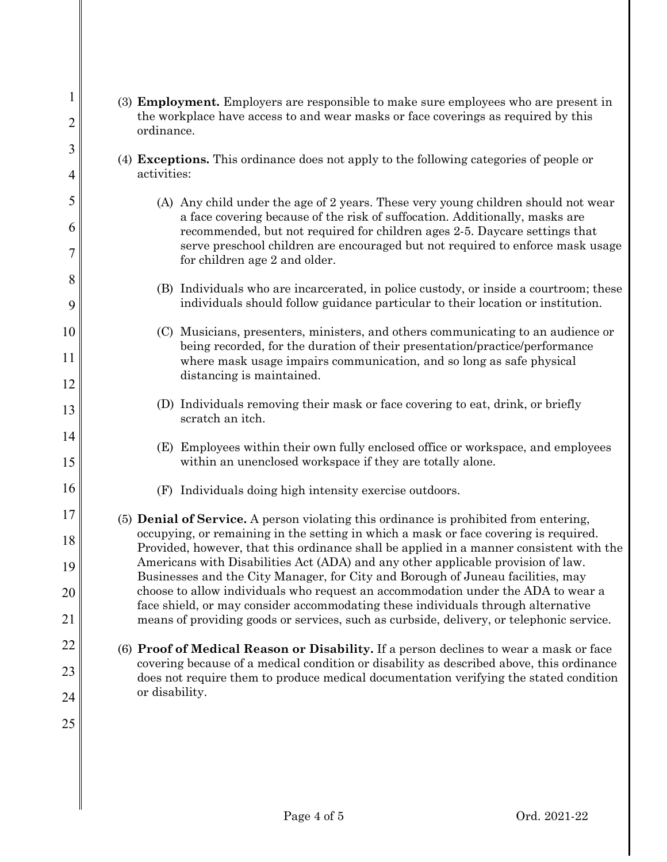| $\mathbf{1}$<br>$\overline{c}$ | (3) Employment. Employers are responsible to make sure employees who are present in<br>the workplace have access to and wear masks or face coverings as required by this                                                                                |  |  |  |  |  |  |
|--------------------------------|---------------------------------------------------------------------------------------------------------------------------------------------------------------------------------------------------------------------------------------------------------|--|--|--|--|--|--|
| 3                              | ordinance.                                                                                                                                                                                                                                              |  |  |  |  |  |  |
| 4                              | (4) Exceptions. This ordinance does not apply to the following categories of people or<br>activities:                                                                                                                                                   |  |  |  |  |  |  |
| 5                              | (A) Any child under the age of 2 years. These very young children should not wear                                                                                                                                                                       |  |  |  |  |  |  |
| 6                              | a face covering because of the risk of suffocation. Additionally, masks are                                                                                                                                                                             |  |  |  |  |  |  |
| 7                              | recommended, but not required for children ages 2-5. Daycare settings that<br>serve preschool children are encouraged but not required to enforce mask usage<br>for children age 2 and older.                                                           |  |  |  |  |  |  |
| 8                              | (B) Individuals who are incarcerated, in police custody, or inside a courtroom; these                                                                                                                                                                   |  |  |  |  |  |  |
| 9                              | individuals should follow guidance particular to their location or institution.                                                                                                                                                                         |  |  |  |  |  |  |
| 10                             | (C) Musicians, presenters, ministers, and others communicating to an audience or                                                                                                                                                                        |  |  |  |  |  |  |
| 11                             | being recorded, for the duration of their presentation/practice/performance<br>where mask usage impairs communication, and so long as safe physical                                                                                                     |  |  |  |  |  |  |
| 12                             | distancing is maintained.                                                                                                                                                                                                                               |  |  |  |  |  |  |
| 13                             | (D) Individuals removing their mask or face covering to eat, drink, or briefly<br>scratch an itch.                                                                                                                                                      |  |  |  |  |  |  |
| 14<br>15                       | (E) Employees within their own fully enclosed office or workspace, and employees<br>within an unenclosed workspace if they are totally alone.                                                                                                           |  |  |  |  |  |  |
| 16                             | (F) Individuals doing high intensity exercise outdoors.                                                                                                                                                                                                 |  |  |  |  |  |  |
| 17                             | (5) <b>Denial of Service.</b> A person violating this ordinance is prohibited from entering,                                                                                                                                                            |  |  |  |  |  |  |
| 18                             | occupying, or remaining in the setting in which a mask or face covering is required.<br>Provided, however, that this ordinance shall be applied in a manner consistent with the                                                                         |  |  |  |  |  |  |
| 19                             | Americans with Disabilities Act (ADA) and any other applicable provision of law.<br>Businesses and the City Manager, for City and Borough of Juneau facilities, may<br>choose to allow individuals who request an accommodation under the ADA to wear a |  |  |  |  |  |  |
| 20                             |                                                                                                                                                                                                                                                         |  |  |  |  |  |  |
| 21                             | face shield, or may consider accommodating these individuals through alternative<br>means of providing goods or services, such as curbside, delivery, or telephonic service.                                                                            |  |  |  |  |  |  |
| 22                             | (6) Proof of Medical Reason or Disability. If a person declines to wear a mask or face                                                                                                                                                                  |  |  |  |  |  |  |
| 23                             | covering because of a medical condition or disability as described above, this ordinance<br>does not require them to produce medical documentation verifying the stated condition<br>or disability.                                                     |  |  |  |  |  |  |
| 24                             |                                                                                                                                                                                                                                                         |  |  |  |  |  |  |
| 25                             |                                                                                                                                                                                                                                                         |  |  |  |  |  |  |
|                                |                                                                                                                                                                                                                                                         |  |  |  |  |  |  |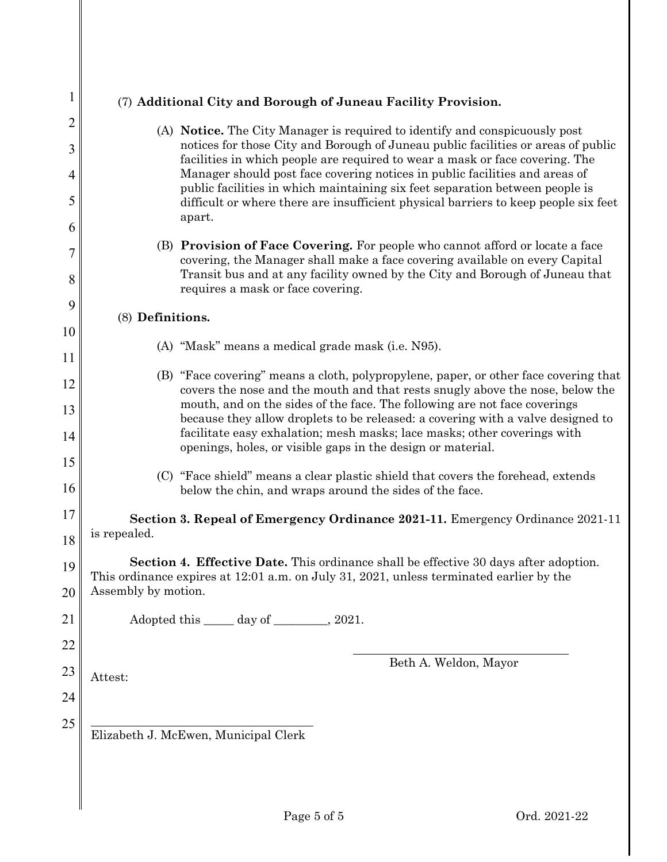| $\mathbf 1$ | (7) Additional City and Borough of Juneau Facility Provision.                                                                                                                                                                                      |  |  |  |  |  |  |  |
|-------------|----------------------------------------------------------------------------------------------------------------------------------------------------------------------------------------------------------------------------------------------------|--|--|--|--|--|--|--|
| 2           | (A) Notice. The City Manager is required to identify and conspicuously post                                                                                                                                                                        |  |  |  |  |  |  |  |
| 3           | notices for those City and Borough of Juneau public facilities or areas of public<br>facilities in which people are required to wear a mask or face covering. The                                                                                  |  |  |  |  |  |  |  |
| 4<br>5      | Manager should post face covering notices in public facilities and areas of<br>public facilities in which maintaining six feet separation between people is<br>difficult or where there are insufficient physical barriers to keep people six feet |  |  |  |  |  |  |  |
| 6           | apart.                                                                                                                                                                                                                                             |  |  |  |  |  |  |  |
| 7           | (B) Provision of Face Covering. For people who cannot afford or locate a face<br>covering, the Manager shall make a face covering available on every Capital                                                                                       |  |  |  |  |  |  |  |
| 8           | Transit bus and at any facility owned by the City and Borough of Juneau that<br>requires a mask or face covering.                                                                                                                                  |  |  |  |  |  |  |  |
| 9           | (8) Definitions.                                                                                                                                                                                                                                   |  |  |  |  |  |  |  |
| 10          |                                                                                                                                                                                                                                                    |  |  |  |  |  |  |  |
| 11          | (A) "Mask" means a medical grade mask (i.e. N95).                                                                                                                                                                                                  |  |  |  |  |  |  |  |
| 12          | (B) "Face covering" means a cloth, polypropylene, paper, or other face covering that<br>covers the nose and the mouth and that rests snugly above the nose, below the                                                                              |  |  |  |  |  |  |  |
| 13          | mouth, and on the sides of the face. The following are not face coverings<br>because they allow droplets to be released: a covering with a valve designed to                                                                                       |  |  |  |  |  |  |  |
| 14          | facilitate easy exhalation; mesh masks; lace masks; other coverings with<br>openings, holes, or visible gaps in the design or material.                                                                                                            |  |  |  |  |  |  |  |
| 15          |                                                                                                                                                                                                                                                    |  |  |  |  |  |  |  |
| 16          | (C) "Face shield" means a clear plastic shield that covers the forehead, extends<br>below the chin, and wraps around the sides of the face.                                                                                                        |  |  |  |  |  |  |  |
| 17          | Section 3. Repeal of Emergency Ordinance 2021-11. Emergency Ordinance 2021-11                                                                                                                                                                      |  |  |  |  |  |  |  |
| 18          | is repealed.                                                                                                                                                                                                                                       |  |  |  |  |  |  |  |
| 19          | Section 4. Effective Date. This ordinance shall be effective 30 days after adoption.<br>This ordinance expires at 12:01 a.m. on July 31, 2021, unless terminated earlier by the                                                                    |  |  |  |  |  |  |  |
| 20          | Assembly by motion.                                                                                                                                                                                                                                |  |  |  |  |  |  |  |
| 21          | Adopted this <u>equal</u> day of <u>equal</u> , 2021.                                                                                                                                                                                              |  |  |  |  |  |  |  |
| 22          |                                                                                                                                                                                                                                                    |  |  |  |  |  |  |  |
| 23          | Beth A. Weldon, Mayor<br>Attest:                                                                                                                                                                                                                   |  |  |  |  |  |  |  |
| 24          |                                                                                                                                                                                                                                                    |  |  |  |  |  |  |  |
| 25          |                                                                                                                                                                                                                                                    |  |  |  |  |  |  |  |
|             | Elizabeth J. McEwen, Municipal Clerk                                                                                                                                                                                                               |  |  |  |  |  |  |  |
|             |                                                                                                                                                                                                                                                    |  |  |  |  |  |  |  |
|             |                                                                                                                                                                                                                                                    |  |  |  |  |  |  |  |
|             |                                                                                                                                                                                                                                                    |  |  |  |  |  |  |  |